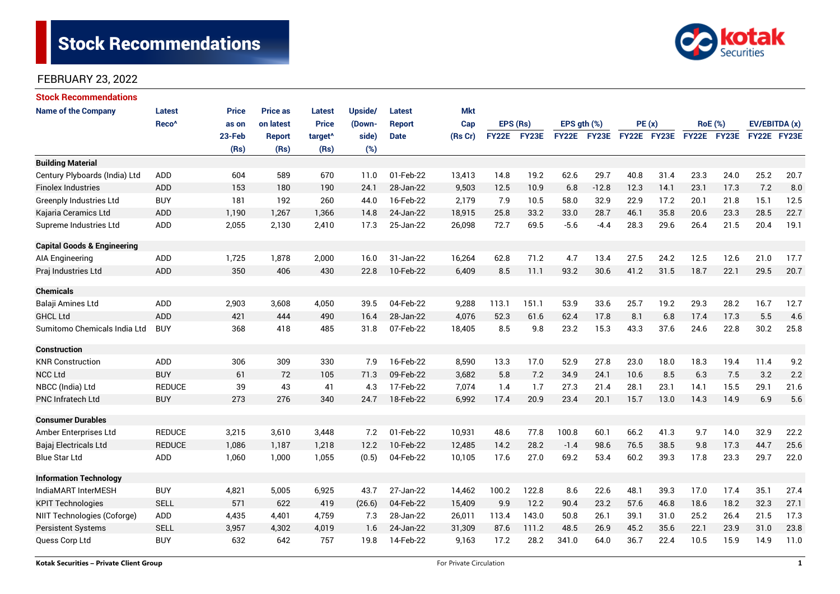# **Stock Recommendations**



### FEBRUARY 23, 2022

| <b>Stock Recommendations</b>           |                   |              |                 |                     |         |               |            |              |       |                  |                    |             |      |                |      |               |      |
|----------------------------------------|-------------------|--------------|-----------------|---------------------|---------|---------------|------------|--------------|-------|------------------|--------------------|-------------|------|----------------|------|---------------|------|
| <b>Name of the Company</b>             | <b>Latest</b>     | <b>Price</b> | <b>Price as</b> | <b>Latest</b>       | Upside/ | <b>Latest</b> | <b>Mkt</b> |              |       |                  |                    |             |      |                |      |               |      |
|                                        | Reco <sup>^</sup> | as on        | on latest       | <b>Price</b>        | (Down-  | <b>Report</b> | Cap        | EPS (Rs)     |       | EPS $gth$ $(\%)$ |                    | PE(x)       |      | <b>RoE</b> (%) |      | EV/EBITDA (x) |      |
|                                        |                   | 23-Feb       | <b>Report</b>   | target <sup>^</sup> | side)   | <b>Date</b>   | (Rs Cr)    | <b>FY22E</b> | FY23E |                  | <b>FY22E FY23E</b> | FY22E FY23E |      | FY22E FY23E    |      | FY22E FY23E   |      |
|                                        |                   | (Rs)         | (Rs)            | (Rs)                | (%)     |               |            |              |       |                  |                    |             |      |                |      |               |      |
| <b>Building Material</b>               |                   |              |                 |                     |         |               |            |              |       |                  |                    |             |      |                |      |               |      |
| Century Plyboards (India) Ltd          | <b>ADD</b>        | 604          | 589             | 670                 | 11.0    | 01-Feb-22     | 13,413     | 14.8         | 19.2  | 62.6             | 29.7               | 40.8        | 31.4 | 23.3           | 24.0 | 25.2          | 20.7 |
| <b>Finolex Industries</b>              | <b>ADD</b>        | 153          | 180             | 190                 | 24.1    | 28-Jan-22     | 9,503      | 12.5         | 10.9  | 6.8              | $-12.8$            | 12.3        | 14.1 | 23.1           | 17.3 | 7.2           | 8.0  |
| <b>Greenply Industries Ltd</b>         | <b>BUY</b>        | 181          | 192             | 260                 | 44.0    | 16-Feb-22     | 2,179      | 7.9          | 10.5  | 58.0             | 32.9               | 22.9        | 17.2 | 20.1           | 21.8 | 15.1          | 12.5 |
| Kajaria Ceramics Ltd                   | <b>ADD</b>        | 1,190        | 1,267           | 1,366               | 14.8    | 24-Jan-22     | 18,915     | 25.8         | 33.2  | 33.0             | 28.7               | 46.1        | 35.8 | 20.6           | 23.3 | 28.5          | 22.7 |
| Supreme Industries Ltd                 | ADD               | 2,055        | 2,130           | 2,410               | 17.3    | 25-Jan-22     | 26,098     | 72.7         | 69.5  | $-5.6$           | $-4.4$             | 28.3        | 29.6 | 26.4           | 21.5 | 20.4          | 19.1 |
| <b>Capital Goods &amp; Engineering</b> |                   |              |                 |                     |         |               |            |              |       |                  |                    |             |      |                |      |               |      |
| AIA Engineering                        | ADD               | 1,725        | 1,878           | 2,000               | 16.0    | 31-Jan-22     | 16,264     | 62.8         | 71.2  | 4.7              | 13.4               | 27.5        | 24.2 | 12.5           | 12.6 | 21.0          | 17.7 |
| Praj Industries Ltd                    | ADD               | 350          | 406             | 430                 | 22.8    | 10-Feb-22     | 6,409      | 8.5          | 11.1  | 93.2             | 30.6               | 41.2        | 31.5 | 18.7           | 22.1 | 29.5          | 20.7 |
| <b>Chemicals</b>                       |                   |              |                 |                     |         |               |            |              |       |                  |                    |             |      |                |      |               |      |
| Balaji Amines Ltd                      | <b>ADD</b>        | 2,903        | 3,608           | 4,050               | 39.5    | 04-Feb-22     | 9,288      | 113.1        | 151.1 | 53.9             | 33.6               | 25.7        | 19.2 | 29.3           | 28.2 | 16.7          | 12.7 |
| <b>GHCL Ltd</b>                        | <b>ADD</b>        | 421          | 444             | 490                 | 16.4    | 28-Jan-22     | 4,076      | 52.3         | 61.6  | 62.4             | 17.8               | 8.1         | 6.8  | 17.4           | 17.3 | 5.5           | 4.6  |
| Sumitomo Chemicals India Ltd           | <b>BUY</b>        | 368          | 418             | 485                 | 31.8    | 07-Feb-22     | 18,405     | 8.5          | 9.8   | 23.2             | 15.3               | 43.3        | 37.6 | 24.6           | 22.8 | 30.2          | 25.8 |
| <b>Construction</b>                    |                   |              |                 |                     |         |               |            |              |       |                  |                    |             |      |                |      |               |      |
| <b>KNR Construction</b>                | ADD               | 306          | 309             | 330                 | 7.9     | 16-Feb-22     | 8,590      | 13.3         | 17.0  | 52.9             | 27.8               | 23.0        | 18.0 | 18.3           | 19.4 | 11.4          | 9.2  |
| <b>NCC Ltd</b>                         | <b>BUY</b>        | 61           | 72              | 105                 | 71.3    | 09-Feb-22     | 3,682      | 5.8          | 7.2   | 34.9             | 24.1               | 10.6        | 8.5  | 6.3            | 7.5  | 3.2           | 2.2  |
| NBCC (India) Ltd                       | <b>REDUCE</b>     | 39           | 43              | 41                  | 4.3     | 17-Feb-22     | 7,074      | 1.4          | 1.7   | 27.3             | 21.4               | 28.1        | 23.1 | 14.1           | 15.5 | 29.1          | 21.6 |
| <b>PNC Infratech Ltd</b>               | <b>BUY</b>        | 273          | 276             | 340                 | 24.7    | 18-Feb-22     | 6,992      | 17.4         | 20.9  | 23.4             | 20.1               | 15.7        | 13.0 | 14.3           | 14.9 | 6.9           | 5.6  |
| <b>Consumer Durables</b>               |                   |              |                 |                     |         |               |            |              |       |                  |                    |             |      |                |      |               |      |
| Amber Enterprises Ltd                  | <b>REDUCE</b>     | 3,215        | 3,610           | 3,448               | 7.2     | 01-Feb-22     | 10,931     | 48.6         | 77.8  | 100.8            | 60.1               | 66.2        | 41.3 | 9.7            | 14.0 | 32.9          | 22.2 |
| Bajaj Electricals Ltd                  | <b>REDUCE</b>     | 1,086        | 1,187           | 1,218               | 12.2    | 10-Feb-22     | 12,485     | 14.2         | 28.2  | $-1.4$           | 98.6               | 76.5        | 38.5 | 9.8            | 17.3 | 44.7          | 25.6 |
| <b>Blue Star Ltd</b>                   | <b>ADD</b>        | 1,060        | 1.000           | 1,055               | (0.5)   | 04-Feb-22     | 10,105     | 17.6         | 27.0  | 69.2             | 53.4               | 60.2        | 39.3 | 17.8           | 23.3 | 29.7          | 22.0 |
| <b>Information Technology</b>          |                   |              |                 |                     |         |               |            |              |       |                  |                    |             |      |                |      |               |      |
| IndiaMART InterMESH                    | <b>BUY</b>        | 4,821        | 5,005           | 6,925               | 43.7    | 27-Jan-22     | 14,462     | 100.2        | 122.8 | 8.6              | 22.6               | 48.1        | 39.3 | 17.0           | 17.4 | 35.1          | 27.4 |
| <b>KPIT Technologies</b>               | <b>SELL</b>       | 571          | 622             | 419                 | (26.6)  | 04-Feb-22     | 15,409     | 9.9          | 12.2  | 90.4             | 23.2               | 57.6        | 46.8 | 18.6           | 18.2 | 32.3          | 27.1 |
| NIIT Technologies (Coforge)            | ADD               | 4,435        | 4,401           | 4,759               | 7.3     | 28-Jan-22     | 26,011     | 113.4        | 143.0 | 50.8             | 26.1               | 39.1        | 31.0 | 25.2           | 26.4 | 21.5          | 17.3 |
| Persistent Systems                     | <b>SELL</b>       | 3,957        | 4,302           | 4,019               | 1.6     | 24-Jan-22     | 31,309     | 87.6         | 111.2 | 48.5             | 26.9               | 45.2        | 35.6 | 22.1           | 23.9 | 31.0          | 23.8 |
| Quess Corp Ltd                         | <b>BUY</b>        | 632          | 642             | 757                 | 19.8    | 14-Feb-22     | 9,163      | 17.2         | 28.2  | 341.0            | 64.0               | 36.7        | 22.4 | 10.5           | 15.9 | 14.9          | 11.0 |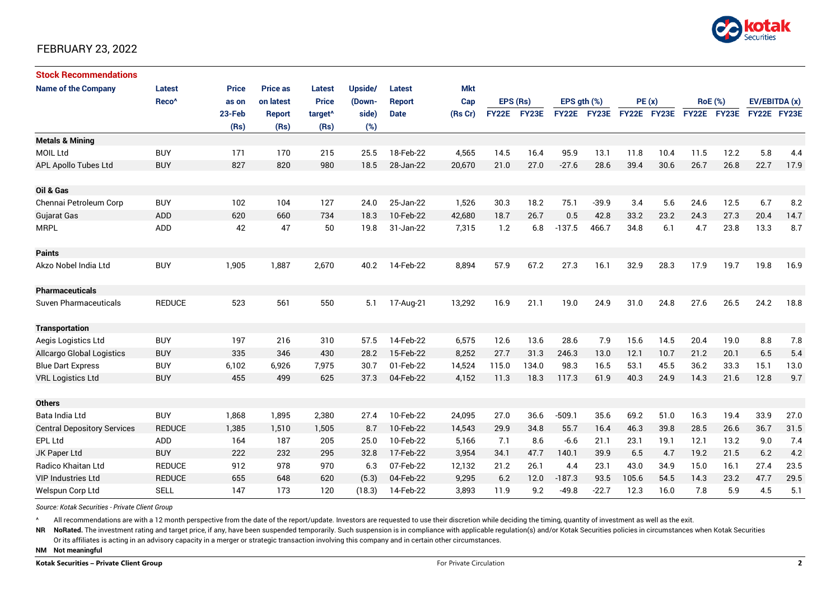

### FEBRUARY 23, 2022

| <b>Stock Recommendations</b>       |                   |              |                 |                     |         |               |         |             |       |               |         |             |      |                |      |               |      |
|------------------------------------|-------------------|--------------|-----------------|---------------------|---------|---------------|---------|-------------|-------|---------------|---------|-------------|------|----------------|------|---------------|------|
| <b>Name of the Company</b>         | <b>Latest</b>     | <b>Price</b> | <b>Price as</b> | Latest              | Upside/ | <b>Latest</b> | Mkt     |             |       |               |         |             |      |                |      |               |      |
|                                    | Reco <sup>^</sup> | as on        | on latest       | <b>Price</b>        | (Down-  | <b>Report</b> | Cap     | EPS (Rs)    |       | EPS $gth$ $%$ |         | PE(x)       |      | <b>RoE</b> (%) |      | EV/EBITDA (x) |      |
|                                    |                   | 23-Feb       | <b>Report</b>   | target <sup>^</sup> | side)   | <b>Date</b>   | (Rs Cr) | FY22E FY23E |       | FY22E FY23E   |         | FY22E FY23E |      | FY22E FY23E    |      | FY22E FY23E   |      |
|                                    |                   | (Rs)         | (Rs)            | (Rs)                | (%)     |               |         |             |       |               |         |             |      |                |      |               |      |
| <b>Metals &amp; Mining</b>         |                   |              |                 |                     |         |               |         |             |       |               |         |             |      |                |      |               |      |
| <b>MOIL Ltd</b>                    | <b>BUY</b>        | 171          | 170             | 215                 | 25.5    | 18-Feb-22     | 4,565   | 14.5        | 16.4  | 95.9          | 13.1    | 11.8        | 10.4 | 11.5           | 12.2 | 5.8           | 4.4  |
| APL Apollo Tubes Ltd               | <b>BUY</b>        | 827          | 820             | 980                 | 18.5    | 28-Jan-22     | 20,670  | 21.0        | 27.0  | $-27.6$       | 28.6    | 39.4        | 30.6 | 26.7           | 26.8 | 22.7          | 17.9 |
| Oil & Gas                          |                   |              |                 |                     |         |               |         |             |       |               |         |             |      |                |      |               |      |
| Chennai Petroleum Corp             | <b>BUY</b>        | 102          | 104             | 127                 | 24.0    | 25-Jan-22     | 1,526   | 30.3        | 18.2  | 75.1          | $-39.9$ | 3.4         | 5.6  | 24.6           | 12.5 | 6.7           | 8.2  |
| <b>Gujarat Gas</b>                 | <b>ADD</b>        | 620          | 660             | 734                 | 18.3    | 10-Feb-22     | 42,680  | 18.7        | 26.7  | 0.5           | 42.8    | 33.2        | 23.2 | 24.3           | 27.3 | 20.4          | 14.7 |
| <b>MRPL</b>                        | <b>ADD</b>        | 42           | 47              | 50                  | 19.8    | 31-Jan-22     | 7,315   | 1.2         | 6.8   | $-137.5$      | 466.7   | 34.8        | 6.1  | 4.7            | 23.8 | 13.3          | 8.7  |
| <b>Paints</b>                      |                   |              |                 |                     |         |               |         |             |       |               |         |             |      |                |      |               |      |
| Akzo Nobel India Ltd               | <b>BUY</b>        | 1,905        | 1,887           | 2,670               | 40.2    | 14-Feb-22     | 8,894   | 57.9        | 67.2  | 27.3          | 16.1    | 32.9        | 28.3 | 17.9           | 19.7 | 19.8          | 16.9 |
| Pharmaceuticals                    |                   |              |                 |                     |         |               |         |             |       |               |         |             |      |                |      |               |      |
| <b>Suven Pharmaceuticals</b>       | <b>REDUCE</b>     | 523          | 561             | 550                 | 5.1     | 17-Aug-21     | 13,292  | 16.9        | 21.1  | 19.0          | 24.9    | 31.0        | 24.8 | 27.6           | 26.5 | 24.2          | 18.8 |
| <b>Transportation</b>              |                   |              |                 |                     |         |               |         |             |       |               |         |             |      |                |      |               |      |
| Aegis Logistics Ltd                | <b>BUY</b>        | 197          | 216             | 310                 | 57.5    | 14-Feb-22     | 6,575   | 12.6        | 13.6  | 28.6          | 7.9     | 15.6        | 14.5 | 20.4           | 19.0 | 8.8           | 7.8  |
| <b>Allcargo Global Logistics</b>   | <b>BUY</b>        | 335          | 346             | 430                 | 28.2    | 15-Feb-22     | 8,252   | 27.7        | 31.3  | 246.3         | 13.0    | 12.1        | 10.7 | 21.2           | 20.1 | 6.5           | 5.4  |
| <b>Blue Dart Express</b>           | <b>BUY</b>        | 6,102        | 6,926           | 7,975               | 30.7    | 01-Feb-22     | 14,524  | 115.0       | 134.0 | 98.3          | 16.5    | 53.1        | 45.5 | 36.2           | 33.3 | 15.1          | 13.0 |
| <b>VRL Logistics Ltd</b>           | <b>BUY</b>        | 455          | 499             | 625                 | 37.3    | 04-Feb-22     | 4,152   | 11.3        | 18.3  | 117.3         | 61.9    | 40.3        | 24.9 | 14.3           | 21.6 | 12.8          | 9.7  |
| <b>Others</b>                      |                   |              |                 |                     |         |               |         |             |       |               |         |             |      |                |      |               |      |
| Bata India Ltd                     | <b>BUY</b>        | 1,868        | 1,895           | 2,380               | 27.4    | 10-Feb-22     | 24,095  | 27.0        | 36.6  | $-509.1$      | 35.6    | 69.2        | 51.0 | 16.3           | 19.4 | 33.9          | 27.0 |
| <b>Central Depository Services</b> | <b>REDUCE</b>     | 1,385        | 1,510           | 1,505               | 8.7     | 10-Feb-22     | 14,543  | 29.9        | 34.8  | 55.7          | 16.4    | 46.3        | 39.8 | 28.5           | 26.6 | 36.7          | 31.5 |
| EPL Ltd                            | <b>ADD</b>        | 164          | 187             | 205                 | 25.0    | 10-Feb-22     | 5,166   | 7.1         | 8.6   | $-6.6$        | 21.1    | 23.1        | 19.1 | 12.1           | 13.2 | 9.0           | 7.4  |
| JK Paper Ltd                       | <b>BUY</b>        | 222          | 232             | 295                 | 32.8    | 17-Feb-22     | 3,954   | 34.1        | 47.7  | 140.1         | 39.9    | 6.5         | 4.7  | 19.2           | 21.5 | 6.2           | 4.2  |
| <b>Radico Khaitan Ltd</b>          | <b>REDUCE</b>     | 912          | 978             | 970                 | 6.3     | 07-Feb-22     | 12,132  | 21.2        | 26.1  | 4.4           | 23.1    | 43.0        | 34.9 | 15.0           | 16.1 | 27.4          | 23.5 |
| <b>VIP Industries Ltd</b>          | <b>REDUCE</b>     | 655          | 648             | 620                 | (5.3)   | 04-Feb-22     | 9,295   | 6.2         | 12.0  | $-187.3$      | 93.5    | 105.6       | 54.5 | 14.3           | 23.2 | 47.7          | 29.5 |
| Welspun Corp Ltd                   | <b>SELL</b>       | 147          | 173             | 120                 | (18.3)  | 14-Feb-22     | 3,893   | 11.9        | 9.2   | $-49.8$       | $-22.7$ | 12.3        | 16.0 | 7.8            | 5.9  | 4.5           | 5.1  |

*Source: Kotak Securities - Private Client Group*

All recommendations are with a 12 month perspective from the date of the report/update. Investors are requested to use their discretion while deciding the timing, quantity of investment as well as the exit.

NR NoRated. The investment rating and target price, if any, have been suspended temporarily. Such suspension is in compliance with applicable regulation(s) and/or Kotak Securities policies in circumstances when Kotak Secur

Or its affiliates is acting in an advisory capacity in a merger or strategic transaction involving this company and in certain other circumstances.

**NM Not meaningful**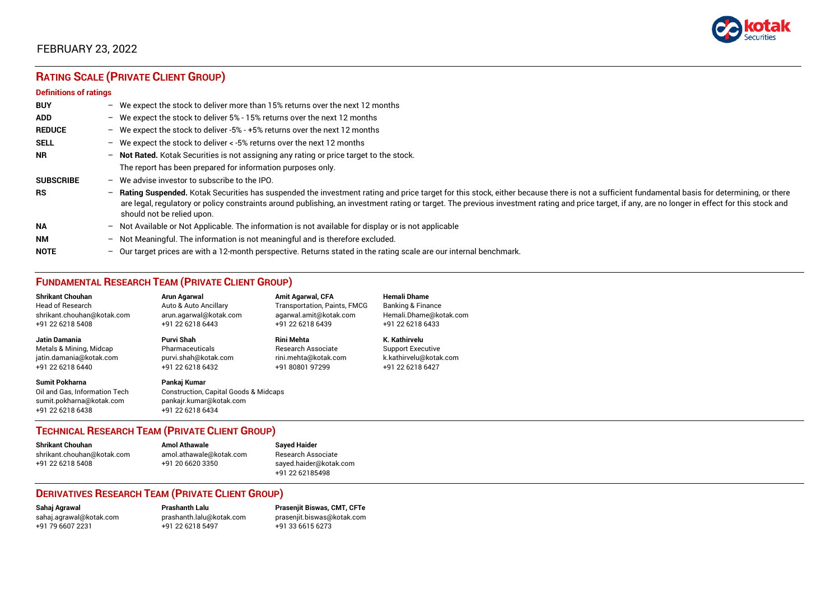

### FEBRUARY 23, 2022

## **RATING SCALE (PRIVATE CLIENT GROUP)**

#### **Definitions of ratings**

| <b>BUY</b>       |   | - We expect the stock to deliver more than 15% returns over the next 12 months                                                                                                                                                                                                                                                                                                                                                     |
|------------------|---|------------------------------------------------------------------------------------------------------------------------------------------------------------------------------------------------------------------------------------------------------------------------------------------------------------------------------------------------------------------------------------------------------------------------------------|
| <b>ADD</b>       |   | - We expect the stock to deliver 5% - 15% returns over the next 12 months                                                                                                                                                                                                                                                                                                                                                          |
| <b>REDUCE</b>    |   | - We expect the stock to deliver -5% - +5% returns over the next 12 months                                                                                                                                                                                                                                                                                                                                                         |
| <b>SELL</b>      |   | - We expect the stock to deliver $\lt$ -5% returns over the next 12 months                                                                                                                                                                                                                                                                                                                                                         |
| <b>NR</b>        |   | - Not Rated. Kotak Securities is not assigning any rating or price target to the stock.                                                                                                                                                                                                                                                                                                                                            |
|                  |   | The report has been prepared for information purposes only.                                                                                                                                                                                                                                                                                                                                                                        |
| <b>SUBSCRIBE</b> |   | $-$ We advise investor to subscribe to the IPO.                                                                                                                                                                                                                                                                                                                                                                                    |
| <b>RS</b>        |   | - Rating Suspended. Kotak Securities has suspended the investment rating and price target for this stock, either because there is not a sufficient fundamental basis for determining, or there<br>are legal, regulatory or policy constraints around publishing, an investment rating or target. The previous investment rating and price target, if any, are no longer in effect for this stock and<br>should not be relied upon. |
| <b>NA</b>        |   | $-$ Not Available or Not Applicable. The information is not available for display or is not applicable                                                                                                                                                                                                                                                                                                                             |
| <b>NM</b>        |   | - Not Meaningful. The information is not meaningful and is therefore excluded.                                                                                                                                                                                                                                                                                                                                                     |
| <b>NOTE</b>      | - | Our target prices are with a 12-month perspective. Returns stated in the rating scale are our internal benchmark.                                                                                                                                                                                                                                                                                                                  |

### **FUNDAMENTAL RESEARCH TEAM (PRIVATE CLIENT GROUP)**

| <b>Shrikant Chouhan</b>                                                                                | Arun Agarwal                                                                                                    | <b>Amit Agarwal, CFA</b>            | <b>Hemali Dhame</b>      |
|--------------------------------------------------------------------------------------------------------|-----------------------------------------------------------------------------------------------------------------|-------------------------------------|--------------------------|
| <b>Head of Research</b>                                                                                | Auto & Auto Ancillary                                                                                           | <b>Transportation, Paints, FMCG</b> | Banking & Finance        |
| shrikant.chouhan@kotak.com                                                                             | arun.agarwal@kotak.com                                                                                          | agarwal.amit@kotak.com              | Hemali.Dhame@kotak.com   |
| +91 22 6218 5408                                                                                       | +91 22 6218 6443                                                                                                | +91 22 6218 6439                    | +91 22 6218 6433         |
| Jatin Damania                                                                                          | Purvi Shah                                                                                                      | <b>Rini Mehta</b>                   | K. Kathirvelu            |
| Metals & Mining, Midcap                                                                                | Pharmaceuticals                                                                                                 | <b>Research Associate</b>           | <b>Support Executive</b> |
| jatin.damania@kotak.com                                                                                | purvi.shah@kotak.com                                                                                            | rini.mehta@kotak.com                | k.kathirvelu@kotak.com   |
| +91 22 6218 6440                                                                                       | +91 22 6218 6432                                                                                                | +91 80801 97299                     | +91 22 6218 6427         |
| <b>Sumit Pokharna</b><br>Oil and Gas, Information Tech<br>sumit.pokharna@kotak.com<br>+91 22 6218 6438 | Pankaj Kumar<br><b>Construction, Capital Goods &amp; Midcaps</b><br>pankajr.kumar@kotak.com<br>+91 22 6218 6434 |                                     |                          |

#### **TECHNICAL RESEARCH TEAM (PRIVATE CLIENT GROUP)**

| <b>Shrikant Chouhan</b>    | <b>Amol Athawale</b>    |  |
|----------------------------|-------------------------|--|
| shrikant.chouhan@kotak.com | amol.athawale@kotak.com |  |
| +91 22 6218 5408           | +91 20 6620 3350        |  |
|                            |                         |  |

#### **Sayed Haider** Research Associate [sayed.haider@kotak.com](mailto:sayed.haider@kotak.com) +91 22 62185498

#### **DERIVATIVES RESEARCH TEAM (PRIVATE CLIENT GROUP)**

+91 22 6218 5497 +91 33 6615 6273

**Sahaj Agrawal Prashanth Lalu Prasenjit Biswas, CMT, CFTe** [sahaj.agrawal@kotak.com](mailto:sahaj.agrawal@kotak.com) [prashanth.lalu@kotak.com](mailto:prashanth.lalu@kotak.com) [prasenjit.biswas@kotak.com](mailto:prasenjit.biswas@kotak.com)